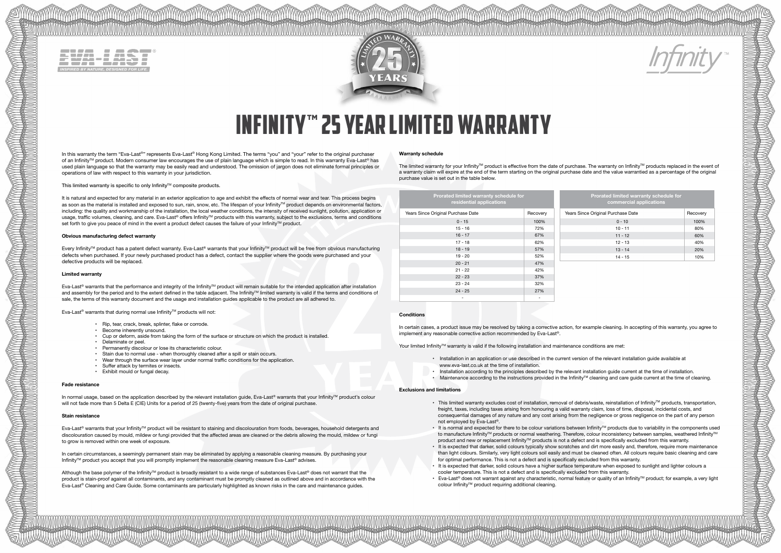|  |  |  |  | <b>INSPIRED BY NATURE. DESIGNED FOR LIFE.</b> |  |
|--|--|--|--|-----------------------------------------------|--|
|  |  |  |  |                                               |  |



# **INFINITY" 25 YEAR LIMITED WARRANTY**

In this warranty the term "Eva-Last®" represents Eva-Last® Hong Kong Limited. The terms "you" and "your" refer to the original purchaser of an Infinity™ product. Modern consumer law encourages the use of plain language which is simple to read. In this warranty Eva-Last® has used plain language so that the warranty may be easily read and understood. The omission of jargon does not eliminate formal principles or operations of law with respect to this warranty in your jurisdiction.

This limited warranty is specific to only Infinity™ composite products.

It is natural and expected for any material in an exterior application to age and exhibit the effects of normal wear and tear. This process begins as soon as the material is installed and exposed to sun, rain, snow, etc. The lifespan of your Infinity™ product depends on environmental factors, including: the quality and workmanship of the installation, the local weather conditions, the intensity of received sunlight, pollution, application or usage, traffic volumes, cleaning, and care. Eva-Last® offers Infinity™ products with this warranty, subject to the exclusions, terms and conditions set forth to give you peace of mind in the event a product defect causes the failure of your Infinity™ product.

# **Obvious manufacturing defect warranty**

Every Infinity™ product has a patent defect warranty. Eva-Last® warrants that your Infinity™ product will be free from obvious manufacturing defects when purchased. If your newly purchased product has a defect, contact the supplier where the goods were purchased and your defective products will be replaced.

# **Limited warranty**

Eva-Last® warrants that the performance and integrity of the InfinityTM product will remain suitable for the intended application after installation and assembly for the period and to the extent defined in the table adjacent. The Infinity™ limited warranty is valid if the terms and conditions of sale, the terms of this warranty document and the usage and installation guides applicable to the product are all adhered to.

Eva-Last® warrants that during normal use InfinityTM products will not:

- Rip, tear, crack, break, splinter, flake or corrode.
- Become inherently unsound.
- Cup or deform, aside from taking the form of the surface or structure on which the product is installed.
- Delaminate or peel.
- Permanently discolour or lose its characteristic colour.
- Stain due to normal use when thoroughly cleaned after a spill or stain occurs.
- Wear through the surface wear layer under normal traffic conditions for the application.
- Suffer attack by termites or insects.
- Exhibit mould or fungal decay.

#### **Fade resistance**

In normal usage, based on the application described by the relevant installation guide, Eva-Last® warrants that your Infinity™ product's colour will not fade more than 5 Delta E (CIE) Units for a period of 25 (twenty-five) years from the date of original purchase.

#### **Stain resistance**

Eva-Last® warrants that your InfinityTM product will be resistant to staining and discolouration from foods, beverages, household detergents and discolouration caused by mould, mildew or fungi provided that the affected areas are cleaned or the debris allowing the mould, mildew or fungi to grow is removed within one week of exposure.

In certain circumstances, a seemingly permanent stain may be eliminated by applying a reasonable cleaning measure. By purchasing your Infinity™ product you accept that you will promptly implement the reasonable cleaning measure Eva-Last® advises.

Although the base polymer of the Infinity™ product is broadly resistant to a wide range of substances Eva-Last® does not warrant that the product is stain-proof against all contaminants, and any contaminant must be promptly cleaned as outlined above and in accordance with the Eva-Last® Cleaning and Care Guide. Some contaminants are particularly highlighted as known risks in the care and maintenance guides.

#### **Warranty schedule**

The limited warranty for your Infinity™ product is effective from the date of purchase. The warranty on Infinity™ products replaced in the event of a warranty claim will expire at the end of the term starting on the original purchase date and the value warrantied as a percentage of the original purchase value is set out in the table below.

| Prorated limited warranty schedule for<br>residential applications | Prorated limited warranty schedule for<br>commercial applications |                                    |          |  |
|--------------------------------------------------------------------|-------------------------------------------------------------------|------------------------------------|----------|--|
| Years Since Original Purchase Date                                 | Recovery                                                          | Years Since Original Purchase Date | Recovery |  |
| $0 - 15$                                                           | 100%                                                              | $0 - 10$                           | 100%     |  |
| $15 - 16$                                                          | 72%                                                               | $10 - 11$                          | 80%      |  |
| $16 - 17$                                                          | 67%                                                               | $11 - 12$                          | 60%      |  |
| $17 - 18$                                                          | 62%                                                               | $12 - 13$                          | 40%      |  |
| $18 - 19$                                                          | 57%                                                               | $13 - 14$                          | 20%      |  |
| $19 - 20$                                                          | 52%                                                               | $14 - 15$                          | 10%      |  |
| $20 - 21$                                                          | 47%                                                               |                                    |          |  |
| $21 - 22$                                                          | 42%                                                               |                                    |          |  |
| $22 - 23$                                                          | 37%                                                               |                                    |          |  |
| $23 - 24$                                                          | 32%                                                               |                                    |          |  |
| $24 - 25$                                                          | 27%                                                               |                                    |          |  |

-

# **Conditions**

TELLANDE TELLANDE TELLANDE TELLANDE TELLANDE TELLANDE TELLANDE TELLANDE TELLANDE TELLANDE TELLANDE TELLANDE TE

In certain cases, a product issue may be resolved by taking a corrective action, for example cleaning. In accepting of this warranty, you agree to implement any reasonable corrective action recommended by Eva-Last®.

Your limited Infinity™ warranty is valid if the following installation and maintenance conditions are met:

- Installation in an application or use described in the current version of the relevant installation guide available at www.eva-last.co.uk at the time of installation.
- Installation according to the principles described by the relevant installation guide current at the time of installation.
- Maintenance according to the instructions provided in the InfinityTM cleaning and care guide current at the time of cleaning.

#### **Exclusions and limitations**

-

- This limited warranty excludes cost of installation, removal of debris/waste, reinstallation of InfinityTM products, transportation freight, taxes, including taxes arising from honouring a valid warranty claim, loss of time, disposal, incidental costs, and consequential damages of any nature and any cost arising from the negligence or gross negligence on the part of any person not employed by Eva-Last®.
- It is normal and expected for there to be colour variations between InfinityTM products due to variability in the components used to manufacture Infinity™ products or normal weathering. Therefore, colour inconsistency between samples, weathered Infinity™ product and new or replacement Infinity™ products is not a defect and is specifically excluded from this warranty.
- It is expected that darker, solid colours typically show scratches and dirt more easily and, therefore, require more maintenance than light colours. Similarly, very light colours soil easily and must be cleaned often. All colours require basic cleaning and care for optimal performance. This is not a defect and is specifically excluded from this warranty.
- It is expected that darker, solid colours have a higher surface temperature when exposed to sunlight and lighter colours a cooler temperature. This is not a defect and is specifically excluded from this warranty.
- Eva-Last® does not warrant against any characteristic, normal feature or quality of an Infinity™ product; for example, a very light colour InfinityTM product requiring additional cleaning.